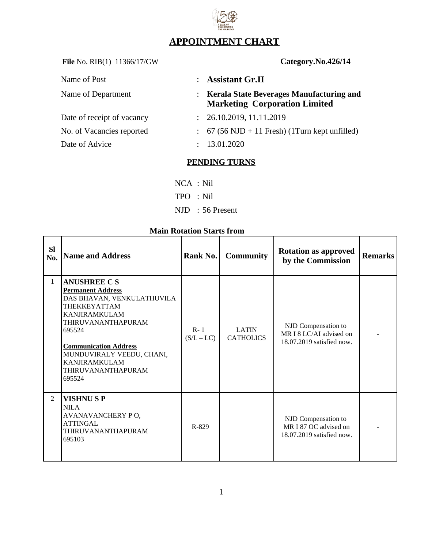# **APPOINTMENT CHART**

File No. RIB(1) 11366/17/GW **Category.No.426/14** 

| Name of Post               | : Assistant Gr.II                                                                  |
|----------------------------|------------------------------------------------------------------------------------|
| Name of Department         | : Kerala State Beverages Manufacturing and<br><b>Marketing Corporation Limited</b> |
| Date of receipt of vacancy | : 26.10.2019, 11.11.2019                                                           |
| No. of Vacancies reported  | $\colon$ 67 (56 NJD + 11 Fresh) (1 Turn kept unfilled)                             |
| Date of Advice             | : 13.01.2020                                                                       |

## **PENDING TURNS**

- NCA : Nil
- TPO : Nil
- NJD : 56 Present

# **Main Rotation Starts from**

| <b>SI</b><br>No. | <b>Name and Address</b>                                                                                                                                                                                                                                                                  | Rank No.                | <b>Community</b>                 | <b>Rotation as approved</b><br>by the Commission                            | <b>Remarks</b> |
|------------------|------------------------------------------------------------------------------------------------------------------------------------------------------------------------------------------------------------------------------------------------------------------------------------------|-------------------------|----------------------------------|-----------------------------------------------------------------------------|----------------|
| $\mathbf{1}$     | <b>ANUSHREE C S</b><br><b>Permanent Address</b><br>DAS BHAVAN, VENKULATHUVILA<br><b>THEKKEYATTAM</b><br><b>KANJIRAMKULAM</b><br><b>THIRUVANANTHAPURAM</b><br>695524<br><b>Communication Address</b><br>MUNDUVIRALY VEEDU, CHANI,<br><b>KANJIRAMKULAM</b><br>THIRUVANANTHAPURAM<br>695524 | $R - 1$<br>$(S/L - LC)$ | <b>LATIN</b><br><b>CATHOLICS</b> | NJD Compensation to<br>MR I 8 LC/AI advised on<br>18.07.2019 satisfied now. |                |
| $\overline{2}$   | <b>VISHNUSP</b><br><b>NILA</b><br>AVANAVANCHERY PO,<br><b>ATTINGAL</b><br>THIRUVANANTHAPURAM<br>695103                                                                                                                                                                                   | R-829                   |                                  | NJD Compensation to<br>MR I 87 OC advised on<br>18.07.2019 satisfied now.   |                |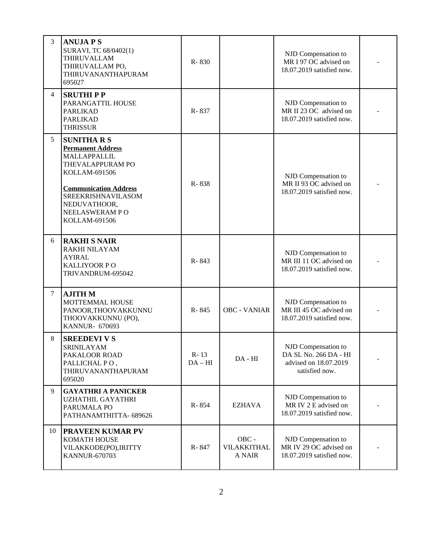| 3  | <b>ANUJA P S</b><br>SURAVI, TC 68/0402(1)<br>THIRUVALLAM<br>THIRUVALLAM PO,<br>THIRUVANANTHAPURAM<br>695027                                                                                                       | R-830               |                                | NJD Compensation to<br>MR I 97 OC advised on<br>18.07.2019 satisfied now.               |  |
|----|-------------------------------------------------------------------------------------------------------------------------------------------------------------------------------------------------------------------|---------------------|--------------------------------|-----------------------------------------------------------------------------------------|--|
| 4  | <b>SRUTHIPP</b><br>PARANGATTIL HOUSE<br><b>PARLIKAD</b><br><b>PARLIKAD</b><br><b>THRISSUR</b>                                                                                                                     | R-837               |                                | NJD Compensation to<br>MR II 23 OC advised on<br>18.07.2019 satisfied now.              |  |
| 5  | <b>SUNITHARS</b><br><b>Permanent Address</b><br>MALLAPPALLIL<br>THEVALAPPURAM PO<br>KOLLAM-691506<br><b>Communication Address</b><br>SREEKRISHNAVILASOM<br>NEDUVATHOOR,<br><b>NEELASWERAM PO</b><br>KOLLAM-691506 | R-838               |                                | NJD Compensation to<br>MR II 93 OC advised on<br>18.07.2019 satisfied now.              |  |
| 6  | <b>RAKHI S NAIR</b><br>RAKHI NILAYAM<br><b>AYIRAL</b><br><b>KALLIYOOR PO</b><br>TRIVANDRUM-695042                                                                                                                 | R-843               |                                | NJD Compensation to<br>MR III 11 OC advised on<br>18.07.2019 satisfied now.             |  |
| 7  | <b>AJITH M</b><br>MOTTEMMAL HOUSE<br>PANOOR, THOOVAKKUNNU<br>THOOVAKKUNNU (PO),<br><b>KANNUR- 670693</b>                                                                                                          | R-845               | <b>OBC - VANIAR</b>            | NJD Compensation to<br>MR III 45 OC advised on<br>18.07.2019 satisfied now.             |  |
| 8  | <b>SREEDEVI V S</b><br>SRINILAYAM<br>PAKALOOR ROAD<br>PALLICHAL PO,<br>THIRUVANANTHAPURAM<br>695020                                                                                                               | $R - 13$<br>$DA-HI$ | $DA - HI$                      | NJD Compensation to<br>DA SL No. 266 DA - HI<br>advised on 18.07.2019<br>satisfied now. |  |
| 9  | <b>GAYATHRI A PANICKER</b><br>UZHATHIL GAYATHRI<br>PARUMALA PO<br>PATHANAMTHITTA-689626                                                                                                                           | R-854               | EZHAVA                         | NJD Compensation to<br>MR IV 2 E advised on<br>18.07.2019 satisfied now.                |  |
| 10 | <b>PRAVEEN KUMAR PV</b><br><b>KOMATH HOUSE</b><br>VILAKKODE(PO), IRITTY<br><b>KANNUR-670703</b>                                                                                                                   | R-847               | OBC -<br>VILAKKITHAL<br>A NAIR | NJD Compensation to<br>MR IV 29 OC advised on<br>18.07.2019 satisfied now.              |  |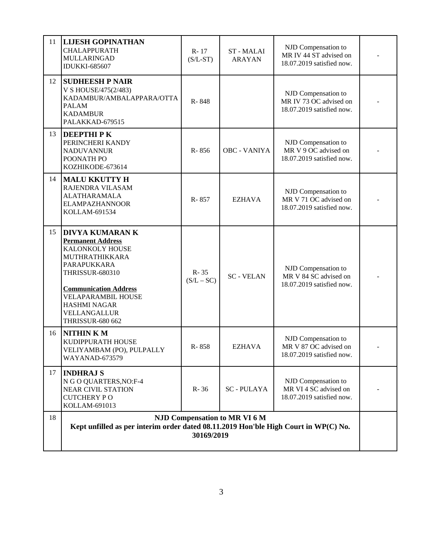| 18 | NJD Compensation to MR VI 6 M<br>Kept unfilled as per interim order dated 08.11.2019 Hon'ble High Court in WP(C) No.<br>30169/2019                                                                                                                              |                          |                           |                                                                            |  |  |
|----|-----------------------------------------------------------------------------------------------------------------------------------------------------------------------------------------------------------------------------------------------------------------|--------------------------|---------------------------|----------------------------------------------------------------------------|--|--|
| 17 | <b>INDHRAJ S</b><br>N G O QUARTERS, NO:F-4<br><b>NEAR CIVIL STATION</b><br><b>CUTCHERY PO</b><br>KOLLAM-691013                                                                                                                                                  | $R - 36$                 | <b>SC-PULAYA</b>          | NJD Compensation to<br>MR VI 4 SC advised on<br>18.07.2019 satisfied now.  |  |  |
| 16 | <b>NITHINKM</b><br>KUDIPPURATH HOUSE<br>VELIYAMBAM (PO), PULPALLY<br><b>WAYANAD-673579</b>                                                                                                                                                                      | R-858                    | EZHAVA                    | NJD Compensation to<br>MR V 87 OC advised on<br>18.07.2019 satisfied now.  |  |  |
| 15 | <b>DIVYA KUMARAN K</b><br><b>Permanent Address</b><br>KALONKOLY HOUSE<br>MUTHRATHIKKARA<br>PARAPUKKARA<br><b>THRISSUR-680310</b><br><b>Communication Address</b><br><b>VELAPARAMBIL HOUSE</b><br><b>HASHMI NAGAR</b><br>VELLANGALLUR<br><b>THRISSUR-680 662</b> | $R - 35$<br>$(S/L - SC)$ | <b>SC-VELAN</b>           | NJD Compensation to<br>MR V 84 SC advised on<br>18.07.2019 satisfied now.  |  |  |
| 14 | <b>MALU KKUTTY H</b><br>RAJENDRA VILASAM<br><b>ALATHARAMALA</b><br><b>ELAMPAZHANNOOR</b><br>KOLLAM-691534                                                                                                                                                       | R-857                    | <b>EZHAVA</b>             | NJD Compensation to<br>MR V 71 OC advised on<br>18.07.2019 satisfied now.  |  |  |
| 13 | DEEPTHI P K<br>PERINCHERI KANDY<br><b>NADUVANNUR</b><br>POONATH PO<br>KOZHIKODE-673614                                                                                                                                                                          | R-856                    | OBC - VANIYA              | NJD Compensation to<br>MR V 9 OC advised on<br>18.07.2019 satisfied now.   |  |  |
| 12 | <b>SUDHEESH P NAIR</b><br>V S HOUSE/475(2/483)<br>KADAMBUR/AMBALAPPARA/OTTA<br><b>PALAM</b><br><b>KADAMBUR</b><br>PALAKKAD-679515                                                                                                                               | R-848                    |                           | NJD Compensation to<br>MR IV 73 OC advised on<br>18.07.2019 satisfied now. |  |  |
| 11 | <b>LIJESH GOPINATHAN</b><br><b>CHALAPPURATH</b><br>MULLARINGAD<br><b>IDUKKI-685607</b>                                                                                                                                                                          | R-17<br>$(S/L-ST)$       | ST-MALAI<br><b>ARAYAN</b> | NJD Compensation to<br>MR IV 44 ST advised on<br>18.07.2019 satisfied now. |  |  |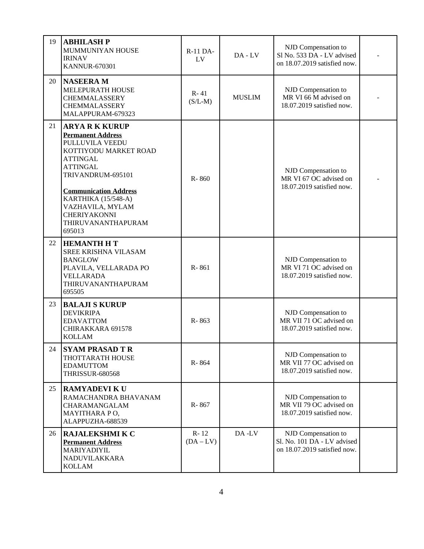| 19 | <b>ABHILASH P</b><br>MUMMUNIYAN HOUSE<br><b>IRINAV</b><br><b>KANNUR-670301</b>                                                                                                                                                                                                             | R-11 DA-<br>LV        | $DA$ - $LV$   | NJD Compensation to<br>Sl No. 533 DA - LV advised<br>on 18.07.2019 satisfied now.  |  |
|----|--------------------------------------------------------------------------------------------------------------------------------------------------------------------------------------------------------------------------------------------------------------------------------------------|-----------------------|---------------|------------------------------------------------------------------------------------|--|
| 20 | <b>NASEERAM</b><br>MELEPURATH HOUSE<br>CHEMMALASSERY<br><b>CHEMMALASSERY</b><br>MALAPPURAM-679323                                                                                                                                                                                          | $R - 41$<br>$(S/L-M)$ | <b>MUSLIM</b> | NJD Compensation to<br>MR VI 66 M advised on<br>18.07.2019 satisfied now.          |  |
| 21 | <b>ARYA R K KURUP</b><br><b>Permanent Address</b><br>PULLUVILA VEEDU<br>KOTTIYODU MARKET ROAD<br><b>ATTINGAL</b><br><b>ATTINGAL</b><br>TRIVANDRUM-695101<br><b>Communication Address</b><br>KARTHIKA (15/548-A)<br>VAZHAVILA, MYLAM<br><b>CHERIYAKONNI</b><br>THIRUVANANTHAPURAM<br>695013 | R-860                 |               | NJD Compensation to<br>MR VI 67 OC advised on<br>18.07.2019 satisfied now.         |  |
| 22 | <b>HEMANTH H T</b><br>SREE KRISHNA VILASAM<br><b>BANGLOW</b><br>PLAVILA, VELLARADA PO<br><b>VELLARADA</b><br>THIRUVANANTHAPURAM<br>695505                                                                                                                                                  | R-861                 |               | NJD Compensation to<br>MR VI 71 OC advised on<br>18.07.2019 satisfied now.         |  |
| 23 | <b>BALAJI S KURUP</b><br><b>DEVIKRIPA</b><br><b>EDAVATTOM</b><br>CHIRAKKARA 691578<br><b>KOLLAM</b>                                                                                                                                                                                        | R-863                 |               | NJD Compensation to<br>MR VII 71 OC advised on<br>18.07.2019 satisfied now.        |  |
| 24 | <b>SYAM PRASAD TR</b><br><b>THOTTARATH HOUSE</b><br><b>EDAMUTTOM</b><br><b>THRISSUR-680568</b>                                                                                                                                                                                             | R-864                 |               | NJD Compensation to<br>MR VII 77 OC advised on<br>18.07.2019 satisfied now.        |  |
| 25 | <b>RAMYADEVI K U</b><br>RAMACHANDRA BHAVANAM<br>CHARAMANGALAM<br>MAYITHARA PO,<br>ALAPPUZHA-688539                                                                                                                                                                                         | R-867                 |               | NJD Compensation to<br>MR VII 79 OC advised on<br>18.07.2019 satisfied now.        |  |
| 26 | <b>RAJALEKSHMI K C</b><br><b>Permanent Address</b><br>MARIYADIYIL<br>NADUVILAKKARA<br><b>KOLLAM</b>                                                                                                                                                                                        | $R - 12$<br>$(DA-LV)$ | DA-LV         | NJD Compensation to<br>Sl. No. 101 DA - LV advised<br>on 18.07.2019 satisfied now. |  |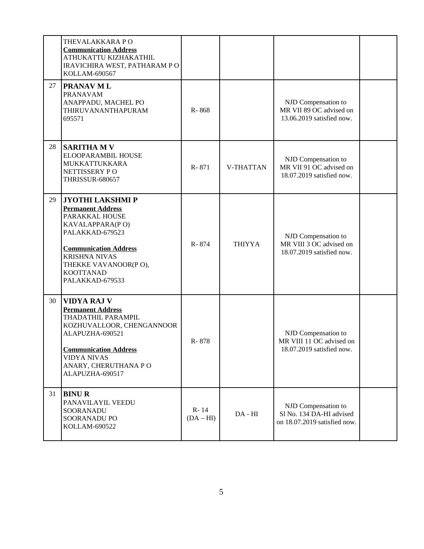|    | THEVALAKKARA PO<br><b>Communication Address</b><br>ATHUKATTU KIZHAKATHIL<br>IRAVICHIRA WEST, PATHARAM PO<br>KOLLAM-690567                                                                                                          |                       |               |                                                                                 |  |
|----|------------------------------------------------------------------------------------------------------------------------------------------------------------------------------------------------------------------------------------|-----------------------|---------------|---------------------------------------------------------------------------------|--|
| 27 | <b>PRANAV ML</b><br><b>PRANAVAM</b><br>ANAPPADU, MACHEL PO<br>THIRUVANANTHAPURAM<br>695571                                                                                                                                         | R-868                 |               | NJD Compensation to<br>MR VII 89 OC advised on<br>13.06.2019 satisfied now.     |  |
| 28 | <b>SARITHA M V</b><br>ELOOPARAMBIL HOUSE<br>MUKKATTUKKARA<br>NETTISSERY PO<br><b>THRISSUR-680657</b>                                                                                                                               | R-871                 | V-THATTAN     | NJD Compensation to<br>MR VII 91 OC advised on<br>18.07.2019 satisfied now.     |  |
| 29 | <b>JYOTHI LAKSHMI P</b><br><b>Permanent Address</b><br>PARAKKAL HOUSE<br>KAVALAPPARA(PO)<br>PALAKKAD-679523<br><b>Communication Address</b><br><b>KRISHNA NIVAS</b><br>THEKKE VAVANOOR(PO),<br><b>KOOTTANAD</b><br>PALAKKAD-679533 | R-874                 | <b>THIYYA</b> | NJD Compensation to<br>MR VIII 3 OC advised on<br>18.07.2019 satisfied now.     |  |
| 30 | <b>VIDYA RAJ V</b><br><b>Permanent Address</b><br>THADATHIL PARAMPIL<br>KOZHUVALLOOR, CHENGANNOOR<br>ALAPUZHA-690521<br><b>Communication Address</b><br><b>VIDYA NIVAS</b><br>ANARY, CHERUTHANA PO<br>ALAPUZHA-690517              | R-878                 |               | NJD Compensation to<br>MR VIII 11 OC advised on<br>18.07.2019 satisfied now.    |  |
| 31 | <b>BINUR</b><br>PANAVILAYIL VEEDU<br>SOORANADU<br>SOORANADU PO<br>KOLLAM-690522                                                                                                                                                    | $R - 14$<br>$(DA-HI)$ | $DA - HI$     | NJD Compensation to<br>Sl No. 134 DA-HI advised<br>on 18.07.2019 satisfied now. |  |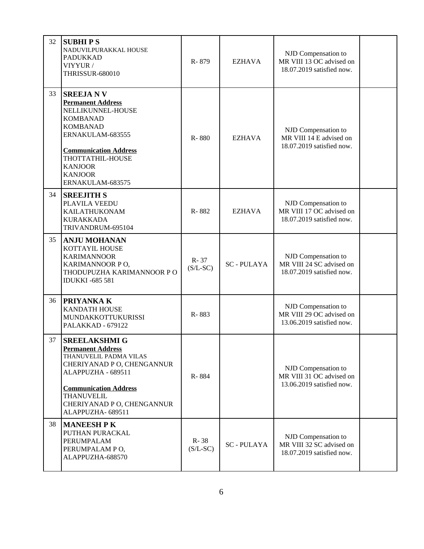| 32 | <b>SUBHIPS</b><br>NADUVILPURAKKAL HOUSE<br><b>PADUKKAD</b><br>VIYYUR /<br><b>THRISSUR-680010</b>                                                                                                                                       | R-879                  | <b>EZHAVA</b>    | NJD Compensation to<br>MR VIII 13 OC advised on<br>18.07.2019 satisfied now. |  |
|----|----------------------------------------------------------------------------------------------------------------------------------------------------------------------------------------------------------------------------------------|------------------------|------------------|------------------------------------------------------------------------------|--|
| 33 | <b>SREEJANV</b><br><b>Permanent Address</b><br>NELLIKUNNEL-HOUSE<br><b>KOMBANAD</b><br><b>KOMBANAD</b><br>ERNAKULAM-683555<br><b>Communication Address</b><br>THOTTATHIL-HOUSE<br><b>KANJOOR</b><br><b>KANJOOR</b><br>ERNAKULAM-683575 | R-880                  | <b>EZHAVA</b>    | NJD Compensation to<br>MR VIII 14 E advised on<br>18.07.2019 satisfied now.  |  |
| 34 | <b>SREEJITH S</b><br>PLAVILA VEEDU<br><b>KAILATHUKONAM</b><br><b>KURAKKADA</b><br>TRIVANDRUM-695104                                                                                                                                    | R-882                  | <b>EZHAVA</b>    | NJD Compensation to<br>MR VIII 17 OC advised on<br>18.07.2019 satisfied now. |  |
| 35 | <b>ANJU MOHANAN</b><br>KOTTAYIL HOUSE<br><b>KARIMANNOOR</b><br>KARIMANNOOR PO,<br>THODUPUZHA KARIMANNOOR PO<br><b>IDUKKI -685 581</b>                                                                                                  | $R - 37$<br>$(S/L-SC)$ | <b>SC-PULAYA</b> | NJD Compensation to<br>MR VIII 24 SC advised on<br>18.07.2019 satisfied now. |  |
| 36 | PRIYANKA K<br><b>KANDATH HOUSE</b><br>MUNDAKKOTTUKURISSI<br>PALAKKAD - 679122                                                                                                                                                          | R-883                  |                  | NJD Compensation to<br>MR VIII 29 OC advised on<br>13.06.2019 satisfied now. |  |
| 37 | <b>SREELAKSHMI G</b><br><b>Permanent Address</b><br>THANUVELIL PADMA VILAS<br>CHERIYANAD P O, CHENGANNUR<br>ALAPPUZHA - 689511<br><b>Communication Address</b><br><b>THANUVELIL</b><br>CHERIYANAD P O, CHENGANNUR<br>ALAPPUZHA-689511  | R-884                  |                  | NJD Compensation to<br>MR VIII 31 OC advised on<br>13.06.2019 satisfied now. |  |
| 38 | <b>MANEESH P K</b><br>PUTHAN PURACKAL<br>PERUMPALAM<br>PERUMPALAM PO,<br>ALAPPUZHA-688570                                                                                                                                              | R-38<br>$(S/L-SC)$     | <b>SC-PULAYA</b> | NJD Compensation to<br>MR VIII 32 SC advised on<br>18.07.2019 satisfied now. |  |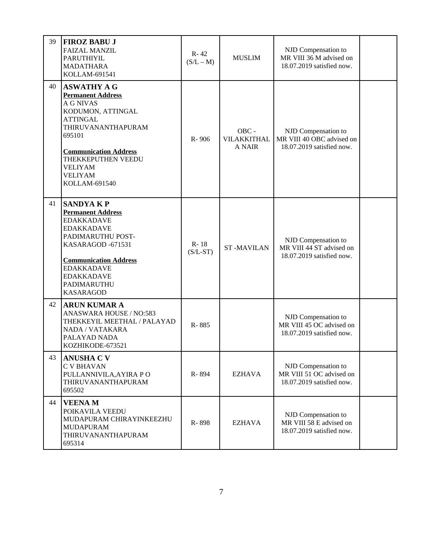| 39 | <b>FIROZ BABU J</b><br><b>FAIZAL MANZIL</b><br><b>PARUTHIYIL</b><br><b>MADATHARA</b><br>KOLLAM-691541                                                                                                                                                 | $R - 42$<br>$(S/L - M)$ | <b>MUSLIM</b>                         | NJD Compensation to<br>MR VIII 36 M advised on<br>18.07.2019 satisfied now.   |  |
|----|-------------------------------------------------------------------------------------------------------------------------------------------------------------------------------------------------------------------------------------------------------|-------------------------|---------------------------------------|-------------------------------------------------------------------------------|--|
| 40 | <b>ASWATHY A G</b><br><b>Permanent Address</b><br><b>A G NIVAS</b><br>KODUMON, ATTINGAL<br><b>ATTINGAL</b><br>THIRUVANANTHAPURAM<br>695101<br><b>Communication Address</b><br>THEKKEPUTHEN VEEDU<br><b>VELIYAM</b><br><b>VELIYAM</b><br>KOLLAM-691540 | R-906                   | OBC -<br>VILAKKITHAL<br><b>A NAIR</b> | NJD Compensation to<br>MR VIII 40 OBC advised on<br>18.07.2019 satisfied now. |  |
| 41 | <b>SANDYAKP</b><br><b>Permanent Address</b><br><b>EDAKKADAVE</b><br><b>EDAKKADAVE</b><br>PADIMARUTHU POST-<br>KASARAGOD-671531<br><b>Communication Address</b><br><b>EDAKKADAVE</b><br><b>EDAKKADAVE</b><br>PADIMARUTHU<br><b>KASARAGOD</b>           | $R - 18$<br>$(S/L-ST)$  | <b>ST-MAVILAN</b>                     | NJD Compensation to<br>MR VIII 44 ST advised on<br>18.07.2019 satisfied now.  |  |
| 42 | <b>ARUN KUMAR A</b><br>ANASWARA HOUSE / NO:583<br>THEKKEYIL MEETHAL / PALAYAD<br>NADA / VATAKARA<br>PALAYAD NADA<br>KOZHIKODE-673521                                                                                                                  | R-885                   |                                       | NJD Compensation to<br>MR VIII 45 OC advised on<br>18.07.2019 satisfied now.  |  |
| 43 | <b>ANUSHA C V</b><br><b>C V BHAVAN</b><br>PULLANNIVILA, AYIRA PO<br>THIRUVANANTHAPURAM<br>695502                                                                                                                                                      | R-894                   | EZHAVA                                | NJD Compensation to<br>MR VIII 51 OC advised on<br>18.07.2019 satisfied now.  |  |
| 44 | <b>VEENAM</b><br>POIKAVILA VEEDU<br>MUDAPURAM CHIRAYINKEEZHU<br><b>MUDAPURAM</b><br>THIRUVANANTHAPURAM<br>695314                                                                                                                                      | R-898                   | <b>EZHAVA</b>                         | NJD Compensation to<br>MR VIII 58 E advised on<br>18.07.2019 satisfied now.   |  |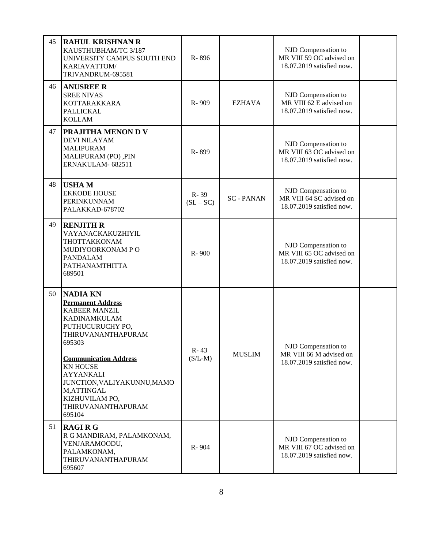| 45 | <b>RAHUL KRISHNAN R</b><br>KAUSTHUBHAM/TC 3/187<br>UNIVERSITY CAMPUS SOUTH END<br>KARIAVATTOM/<br>TRIVANDRUM-695581                                                                                                                                                                                           | R-896                 |                 | NJD Compensation to<br>MR VIII 59 OC advised on<br>18.07.2019 satisfied now. |  |
|----|---------------------------------------------------------------------------------------------------------------------------------------------------------------------------------------------------------------------------------------------------------------------------------------------------------------|-----------------------|-----------------|------------------------------------------------------------------------------|--|
| 46 | <b>ANUSREE R</b><br><b>SREE NIVAS</b><br><b>KOTTARAKKARA</b><br><b>PALLICKAL</b><br><b>KOLLAM</b>                                                                                                                                                                                                             | R-909                 | <b>EZHAVA</b>   | NJD Compensation to<br>MR VIII 62 E advised on<br>18.07.2019 satisfied now.  |  |
| 47 | PRAJITHA MENON D V<br><b>DEVI NILAYAM</b><br><b>MALIPURAM</b><br>MALIPURAM (PO), PIN<br>ERNAKULAM-682511                                                                                                                                                                                                      | R-899                 |                 | NJD Compensation to<br>MR VIII 63 OC advised on<br>18.07.2019 satisfied now. |  |
| 48 | <b>USHAM</b><br><b>EKKODE HOUSE</b><br>PERINKUNNAM<br>PALAKKAD-678702                                                                                                                                                                                                                                         | R-39<br>$(SL - SC)$   | <b>SC-PANAN</b> | NJD Compensation to<br>MR VIII 64 SC advised on<br>18.07.2019 satisfied now. |  |
| 49 | <b>RENJITH R</b><br>VAYANACKAKUZHIYIL<br>THOTTAKKONAM<br>MUDIYOORKONAM PO<br><b>PANDALAM</b><br>PATHANAMTHITTA<br>689501                                                                                                                                                                                      | R-900                 |                 | NJD Compensation to<br>MR VIII 65 OC advised on<br>18.07.2019 satisfied now. |  |
| 50 | <b>NADIA KN</b><br><b>Permanent Address</b><br><b>KABEER MANZIL</b><br>KADINAMKULAM<br>PUTHUCURUCHY PO,<br>THIRUVANANTHAPURAM<br>695303<br><b>Communication Address</b><br><b>KN HOUSE</b><br><b>AYYANKALI</b><br>JUNCTION, VALIYAKUNNU, MAMO<br>M,ATTINGAL<br>KIZHUVILAM PO,<br>THIRUVANANTHAPURAM<br>695104 | $R - 43$<br>$(S/L-M)$ | <b>MUSLIM</b>   | NJD Compensation to<br>MR VIII 66 M advised on<br>18.07.2019 satisfied now.  |  |
| 51 | <b>RAGIRG</b><br>R G MANDIRAM, PALAMKONAM,<br>VENJARAMOODU,<br>PALAMKONAM,<br>THIRUVANANTHAPURAM<br>695607                                                                                                                                                                                                    | R-904                 |                 | NJD Compensation to<br>MR VIII 67 OC advised on<br>18.07.2019 satisfied now. |  |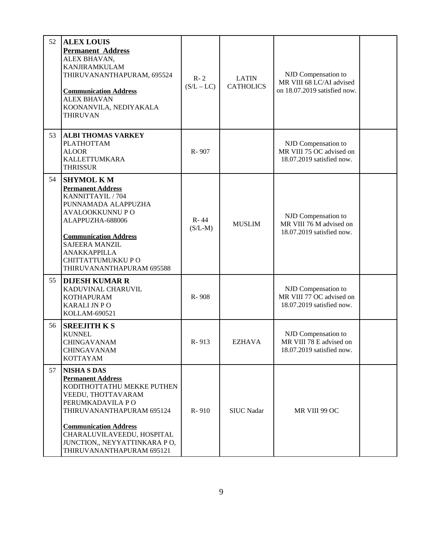| 52 | <b>ALEX LOUIS</b><br><b>Permanent Address</b><br>ALEX BHAVAN,<br><b>KANJIRAMKULAM</b><br>THIRUVANANTHAPURAM, 695524<br><b>Communication Address</b><br><b>ALEX BHAVAN</b><br>KOONANVILA, NEDIYAKALA<br><b>THIRUVAN</b>                                                         | $R - 2$<br>$(S/L - LC)$ | <b>LATIN</b><br><b>CATHOLICS</b> | NJD Compensation to<br>MR VIII 68 LC/AI advised<br>on 18.07.2019 satisfied now. |  |
|----|--------------------------------------------------------------------------------------------------------------------------------------------------------------------------------------------------------------------------------------------------------------------------------|-------------------------|----------------------------------|---------------------------------------------------------------------------------|--|
| 53 | <b>ALBI THOMAS VARKEY</b><br>PLATHOTTAM<br><b>ALOOR</b><br><b>KALLETTUMKARA</b><br><b>THRISSUR</b>                                                                                                                                                                             | R-907                   |                                  | NJD Compensation to<br>MR VIII 75 OC advised on<br>18.07.2019 satisfied now.    |  |
| 54 | <b>SHYMOL KM</b><br><b>Permanent Address</b><br>KANNITTAYIL / 704<br>PUNNAMADA ALAPPUZHA<br>AVALOOKKUNNU PO<br>ALAPPUZHA-688006<br><b>Communication Address</b><br><b>SAJEERA MANZIL</b><br><b>ANAKKAPPILLA</b><br>CHITTATTUMUKKU PO<br>THIRUVANANTHAPURAM 695588              | $R - 44$<br>$(S/L-M)$   | <b>MUSLIM</b>                    | NJD Compensation to<br>MR VIII 76 M advised on<br>18.07.2019 satisfied now.     |  |
| 55 | <b>DIJESH KUMAR R</b><br>KADUVINAL CHARUVIL<br><b>KOTHAPURAM</b><br>KARALI JN PO<br>KOLLAM-690521                                                                                                                                                                              | R-908                   |                                  | NJD Compensation to<br>MR VIII 77 OC advised on<br>18.07.2019 satisfied now.    |  |
| 56 | <b>SREEJITH K S</b><br><b>KUNNEL</b><br>CHINGAVANAM<br>CHINGAVANAM<br><b>KOTTAYAM</b>                                                                                                                                                                                          | R-913                   | <b>EZHAVA</b>                    | NJD Compensation to<br>MR VIII 78 E advised on<br>18.07.2019 satisfied now.     |  |
| 57 | <b>NISHA S DAS</b><br><b>Permanent Address</b><br>KODITHOTTATHU MEKKE PUTHEN<br>VEEDU, THOTTAVARAM<br>PERUMKADAVILA PO<br>THIRUVANANTHAPURAM 695124<br><b>Communication Address</b><br>CHARALUVILAVEEDU, HOSPITAL<br>JUNCTION,, NEYYATTINKARA PO,<br>THIRUVANANTHAPURAM 695121 | R-910                   | <b>SIUC Nadar</b>                | MR VIII 99 OC                                                                   |  |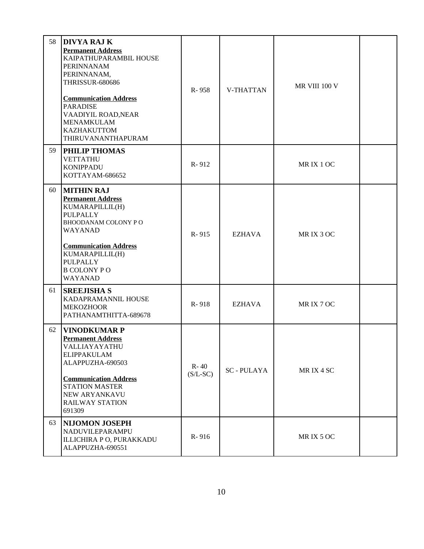| 58 | <b>DIVYA RAJ K</b><br><b>Permanent Address</b><br>KAIPATHUPARAMBIL HOUSE<br><b>PERINNANAM</b><br>PERINNANAM,<br><b>THRISSUR-680686</b><br><b>Communication Address</b><br><b>PARADISE</b><br>VAADIYIL ROAD, NEAR<br>MENAMKULAM<br><b>KAZHAKUTTOM</b><br>THIRUVANANTHAPURAM | R-958                  | V-THATTAN        | MR VIII 100 V |  |
|----|----------------------------------------------------------------------------------------------------------------------------------------------------------------------------------------------------------------------------------------------------------------------------|------------------------|------------------|---------------|--|
| 59 | <b>PHILIP THOMAS</b><br><b>VETTATHU</b><br><b>KONIPPADU</b><br>KOTTAYAM-686652                                                                                                                                                                                             | R-912                  |                  | MRIX 1 OC     |  |
| 60 | <b>MITHIN RAJ</b><br><b>Permanent Address</b><br>KUMARAPILLIL(H)<br>PULPALLY<br>BHOODANAM COLONY PO<br>WAYANAD<br><b>Communication Address</b><br>KUMARAPILLIL(H)<br>PULPALLY<br><b>B COLONY PO</b><br>WAYANAD                                                             | R-915                  | <b>EZHAVA</b>    | MRIX 3 OC     |  |
| 61 | <b>SREEJISHA S</b><br>KADAPRAMANNIL HOUSE<br><b>MEKOZHOOR</b><br>PATHANAMTHITTA-689678                                                                                                                                                                                     | R-918                  | <b>EZHAVA</b>    | MRIX 7 OC     |  |
| 62 | <b>VINODKUMAR P</b><br><b>Permanent Address</b><br>VALLIAYAYATHU<br><b>ELIPPAKULAM</b><br>ALAPPUZHA-690503<br><b>Communication Address</b><br><b>STATION MASTER</b><br><b>NEW ARYANKAVU</b><br><b>RAILWAY STATION</b><br>691309                                            | $R - 40$<br>$(S/L-SC)$ | <b>SC-PULAYA</b> | MRIX 4 SC     |  |
| 63 | <b>NIJOMON JOSEPH</b><br>NADUVILEPARAMPU<br>ILLICHIRA P O, PURAKKADU<br>ALAPPUZHA-690551                                                                                                                                                                                   | R-916                  |                  | MRIX 5 OC     |  |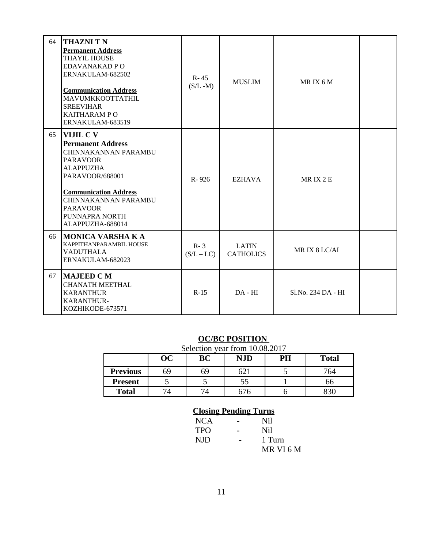| 64 | <b>THAZNI T N</b><br><b>Permanent Address</b><br><b>THAYIL HOUSE</b><br>EDAVANAKAD P O<br>ERNAKULAM-682502<br><b>Communication Address</b><br>MAVUMKKOOTTATHIL<br><b>SREEVIHAR</b><br><b>KAITHARAM PO</b><br>ERNAKULAM-683519            | $R - 45$<br>$(S/L - M)$ | <b>MUSLIM</b>                    | MRIX 6M             |  |
|----|------------------------------------------------------------------------------------------------------------------------------------------------------------------------------------------------------------------------------------------|-------------------------|----------------------------------|---------------------|--|
| 65 | VIJIL C V<br><b>Permanent Address</b><br>CHINNAKANNAN PARAMBU<br><b>PARAVOOR</b><br><b>ALAPPUZHA</b><br>PARAVOOR/688001<br><b>Communication Address</b><br>CHINNAKANNAN PARAMBU<br><b>PARAVOOR</b><br>PUNNAPRA NORTH<br>ALAPPUZHA-688014 | R-926                   | <b>EZHAVA</b>                    | MRIX <sub>2</sub> E |  |
| 66 | <b>MONICA VARSHA K A</b><br>KAPPITHANPARAMBIL HOUSE<br><b>VADUTHALA</b><br>ERNAKULAM-682023                                                                                                                                              | $R - 3$<br>$(S/L - LC)$ | <b>LATIN</b><br><b>CATHOLICS</b> | MRIX 8 LC/AI        |  |
| 67 | <b>MAJEED C M</b><br><b>CHANATH MEETHAL</b><br><b>KARANTHUR</b><br><b>KARANTHUR-</b><br>KOZHIKODE-673571                                                                                                                                 | $R-15$                  | $DA - HI$                        | Sl.No. 234 DA - HI  |  |

#### **OC/BC POSITION**

| Selection year from 10.08.2017 |    |    |            |    |              |  |
|--------------------------------|----|----|------------|----|--------------|--|
|                                | OC | BC | <b>NJD</b> | PH | <b>Total</b> |  |
| <b>Previous</b>                | 69 | 69 | 621        |    | 764          |  |
| <b>Present</b>                 |    |    | 55         |    | 66           |  |
| <b>Total</b>                   |    |    | 676        |    | 330          |  |

### **Closing Pending Turns**

| NCA        | Nil       |
|------------|-----------|
| <b>TPO</b> | Nil       |
| NJD        | 1 Turn    |
|            | MR VI 6 M |